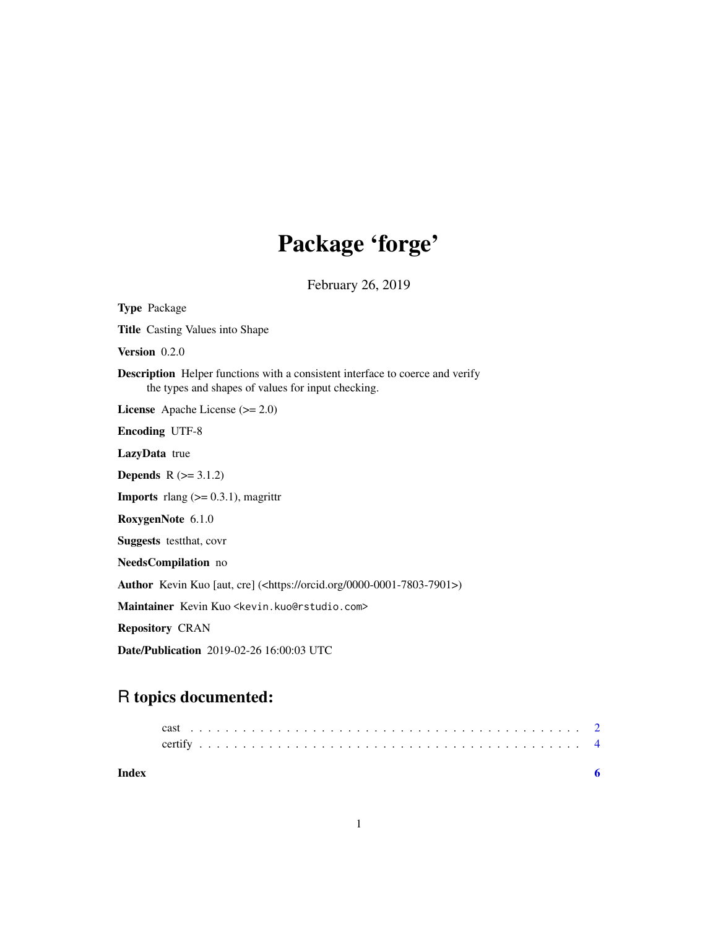## Package 'forge'

February 26, 2019

Type Package Title Casting Values into Shape Version 0.2.0 Description Helper functions with a consistent interface to coerce and verify the types and shapes of values for input checking. License Apache License (>= 2.0) Encoding UTF-8 LazyData true **Depends**  $R$  ( $>= 3.1.2$ ) **Imports** rlang  $(>= 0.3.1)$ , magrittr RoxygenNote 6.1.0 Suggests testthat, covr NeedsCompilation no Author Kevin Kuo [aut, cre] (<https://orcid.org/0000-0001-7803-7901>) Maintainer Kevin Kuo <kevin.kuo@rstudio.com> Repository CRAN Date/Publication 2019-02-26 16:00:03 UTC

### R topics documented:

| Index |  |  |  |  |  |  |  |  |  |  |  |  |  |  |  |  |  |  |  |  |  |
|-------|--|--|--|--|--|--|--|--|--|--|--|--|--|--|--|--|--|--|--|--|--|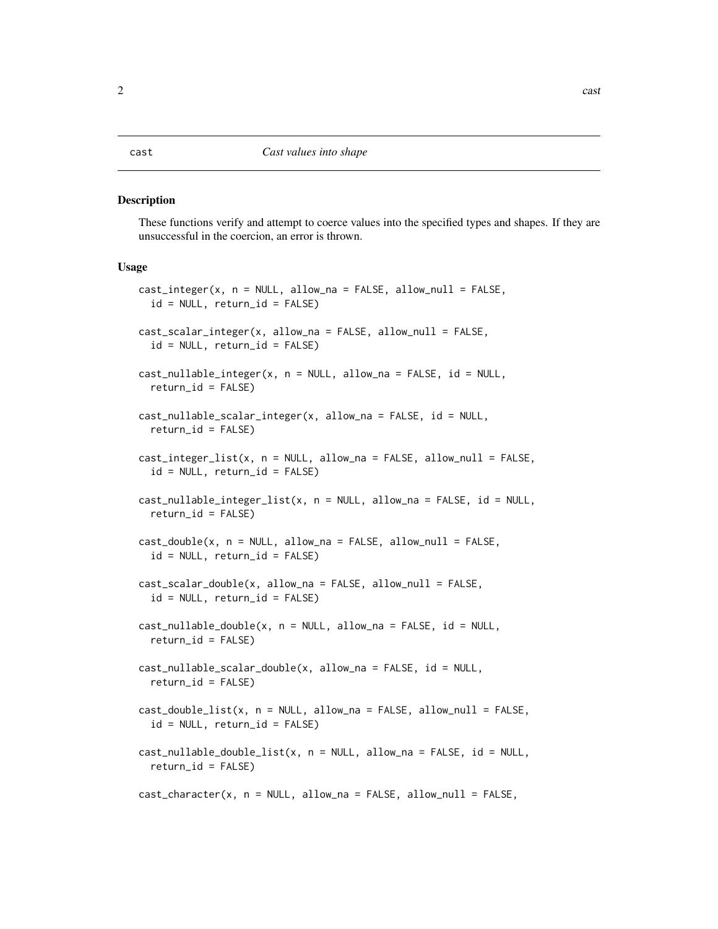#### <span id="page-1-0"></span>Description

These functions verify and attempt to coerce values into the specified types and shapes. If they are unsuccessful in the coercion, an error is thrown.

#### Usage

```
cast_integer(x, n = NULL, allow_na = FALSE, allow_null = FALSE,
  id = NULL, return_id = FALSE)
cast_scalar_integer(x, allow_na = FALSE, allow_null = FALSE,
  id = NULL, return_id = FALSE)cast_nullable_integer(x, n = NULL, allow_na = FALSE, id = NULL,
  return_id = FALSE)
cast_nullable_scalar_integer(x, allow_na = FALSE, id = NULL,
  return_id = FALSE)cast\_integer\_list(x, n = NULL, allow_na = FALSE, allow_null = FALSE,id = NULL, return_id = FALSE)cast_nullable_integer_list(x, n = NULL, allow_na = FALSE, id = NULL,
  return_id = FALSE)
cast_double(x, n = NULL, allow_na = FALSE, allow_null = FALSE,id = NULL, return_id = FALSE)cast_scalar_double(x, allow_na = FALSE, allow_null = FALSE,
  id = NULL, return_id = FALSE)
cast\_nullable\_double(x, n = NULL, allow_na = FALSE, id = NULL,return_id = FALSE)cast\_nullable\_scalar\_double(x, allow\_na = FALSE, id = NULL,return_id = FALSE)
cast_double_list(x, n = NULL, allow_na = FALSE, allow_null = FALSE,id = NULL, return_id = FALSE)
cast\_nullable\_double\_list(x, n = NULL, allow\_na = FALSE, id = NULL,return_id = FALSE)
cast_character(x, n = NULL, allow_na = FALSE, allow_null = FALSE,
```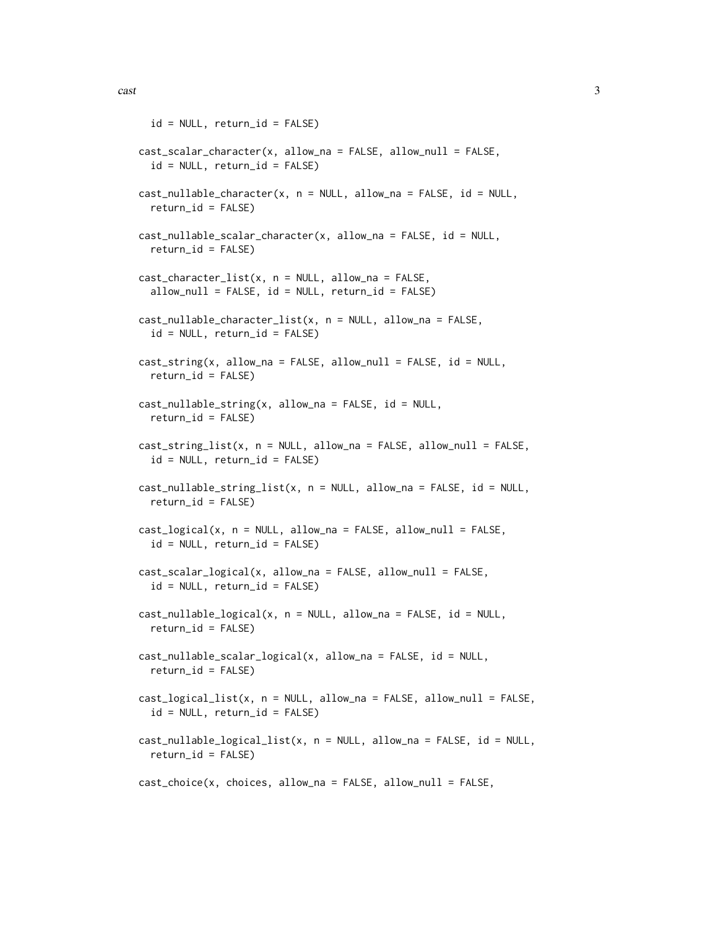```
id = NULL, return_id = FALSE)cast_scalar_character(x, allow_na = FALSE, allow_null = FALSE,
  id = NULL, return_id = FALSE)
cast\_nullable\_character(x, n = NULL, allow_na = FALSE, id = NULL,return_id = FALSE)
cast_nullable_scalar_character(x, allow_na = FALSE, id = NULL,
  return_id = FALSE)
cast_{character\_list(x, n = NULL, allow_n = FALSE,allow\_null = FALSE, id = NULL, return_id = FALSE)cast_nullable_character_list(x, n = NULL, allow_na = FALSE,
  id = NULL, return_id = FALSE)
cast\_string(x, allow_na = FALSE, allow_null = FALSE, id = NULL,return_id = FALSE)cast\_nullable\_string(x, allow\_na = FALSE, id = NULL,return_id = FALSE)
cast_string_list(x, n = NULL, allow_na = FALSE, allow_null = FALSE,
  id = NULL, return_id = FALSE)
cast\_nullable\_string\_list(x, n = NULL, allow_na = FALSE, id = NULL,return_id = FALSE)
cast_logical(x, n = NULL, allow_na = FALSE, allow_null = FALSE,
  id = NULL, return_id = FALSE)
cast_scalar_logical(x, allow_na = FALSE, allow_null = FALSE,
  id = NULL, return_id = FALSE)cast_nullable_logical(x, n = NULL, allow_na = FALSE, id = NULL,
  return_id = FALSE)
cast_nullable_scalar_logical(x, allow_na = FALSE, id = NULL,
  return_id = FALSE)
cast\_logical\_list(x, n = NULL, allow_na = FALSE, allow_null = FALSE,id = NULL, return_id = FALSE)cast_nullable_logical_list(x, n = NULL, allow_na = FALSE, id = NULL,
  return_id = FALSE)
cast_choice(x, choices, allow_na = FALSE, allow_null = FALSE,
```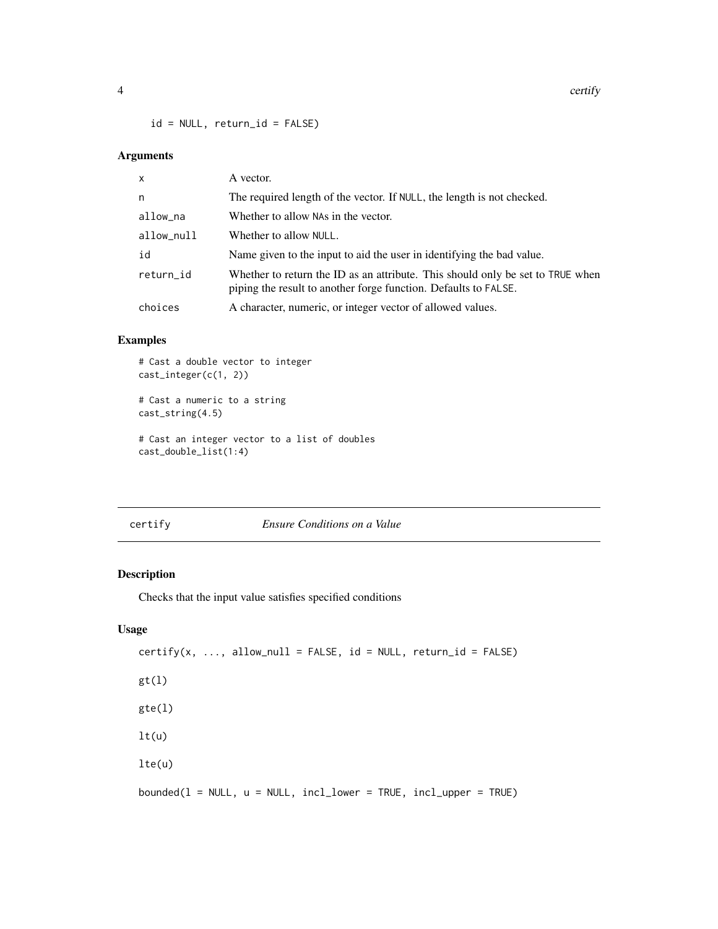<span id="page-3-0"></span> $id = NULL, return_id = FALSE)$ 

#### Arguments

| X          | A vector.                                                                                                                                         |
|------------|---------------------------------------------------------------------------------------------------------------------------------------------------|
| n          | The required length of the vector. If NULL, the length is not checked.                                                                            |
| allow_na   | Whether to allow NAs in the vector.                                                                                                               |
| allow_null | Whether to allow NULL.                                                                                                                            |
| id         | Name given to the input to aid the user in identifying the bad value.                                                                             |
| return_id  | Whether to return the ID as an attribute. This should only be set to TRUE when<br>piping the result to another forge function. Defaults to FALSE. |
| choices    | A character, numeric, or integer vector of allowed values.                                                                                        |

#### Examples

# Cast a double vector to integer cast\_integer(c(1, 2))

```
# Cast a numeric to a string
cast_string(4.5)
```

```
# Cast an integer vector to a list of doubles
cast_double_list(1:4)
```

| er: | tif<br>v |
|-----|----------|
|     |          |

#### **Ensure Conditions on a Value**

#### Description

Checks that the input value satisfies specified conditions

#### Usage

```
certify(x, ..., allow\_null = FALSE, id = NULL, return_id = FALSE)gt(1)gte(l)
lt(u)lte(u)
bounded(1 = NULL, u = NULL, incl\_lower = TRUE, incl\_upper = TRUE)
```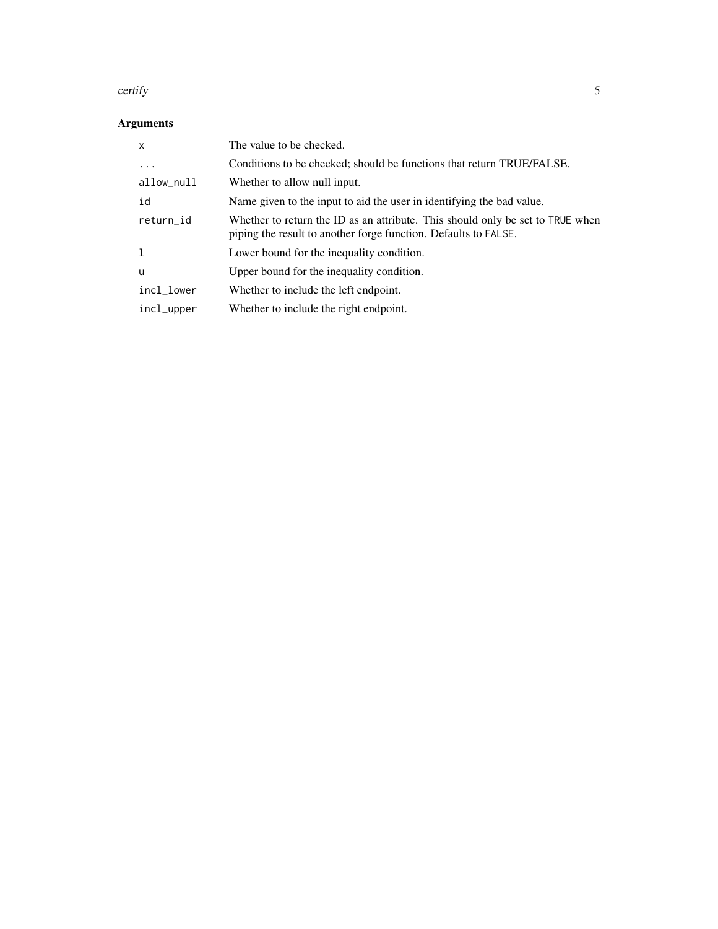#### certify 5

### Arguments

| $\mathsf{x}$ | The value to be checked.                                                                                                                          |
|--------------|---------------------------------------------------------------------------------------------------------------------------------------------------|
| $\cdots$     | Conditions to be checked; should be functions that return TRUE/FALSE.                                                                             |
| allow_null   | Whether to allow null input.                                                                                                                      |
| id           | Name given to the input to aid the user in identifying the bad value.                                                                             |
| return_id    | Whether to return the ID as an attribute. This should only be set to TRUE when<br>piping the result to another forge function. Defaults to FALSE. |
| -1           | Lower bound for the inequality condition.                                                                                                         |
| u            | Upper bound for the inequality condition.                                                                                                         |
| incl_lower   | Whether to include the left endpoint.                                                                                                             |
| incl_upper   | Whether to include the right endpoint.                                                                                                            |